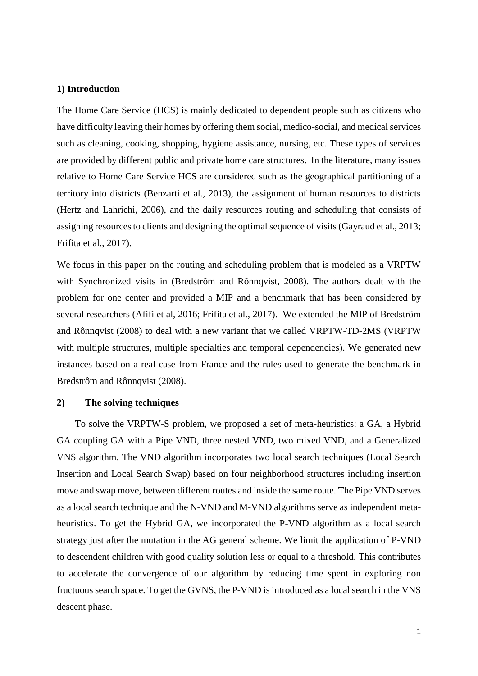### **1) Introduction**

The Home Care Service (HCS) is mainly dedicated to dependent people such as citizens who have difficulty leaving their homes by offering them social, medico-social, and medical services such as cleaning, cooking, shopping, hygiene assistance, nursing, etc. These types of services are provided by different public and private home care structures. In the literature, many issues relative to Home Care Service HCS are considered such as the geographical partitioning of a territory into districts (Benzarti et al., 2013), the assignment of human resources to districts (Hertz and Lahrichi, 2006), and the daily resources routing and scheduling that consists of assigning resources to clients and designing the optimal sequence of visits (Gayraud et al., 2013; Frifita et al., 2017).

We focus in this paper on the routing and scheduling problem that is modeled as a VRPTW with Synchronized visits in (Bredstrôm and Rônnqvist, 2008). The authors dealt with the problem for one center and provided a MIP and a benchmark that has been considered by several researchers (Afifi et al, 2016; Frifita et al., 2017). We extended the MIP of Bredstrôm and Rônnqvist (2008) to deal with a new variant that we called VRPTW-TD-2MS (VRPTW with multiple structures, multiple specialties and temporal dependencies). We generated new instances based on a real case from France and the rules used to generate the benchmark in Bredstrôm and Rônnqvist (2008).

# **2) The solving techniques**

To solve the VRPTW-S problem, we proposed a set of meta-heuristics: a GA, a Hybrid GA coupling GA with a Pipe VND, three nested VND, two mixed VND, and a Generalized VNS algorithm. The VND algorithm incorporates two local search techniques (Local Search Insertion and Local Search Swap) based on four neighborhood structures including insertion move and swap move, between different routes and inside the same route. The Pipe VND serves as a local search technique and the N-VND and M-VND algorithms serve as independent metaheuristics. To get the Hybrid GA, we incorporated the P-VND algorithm as a local search strategy just after the mutation in the AG general scheme. We limit the application of P-VND to descendent children with good quality solution less or equal to a threshold. This contributes to accelerate the convergence of our algorithm by reducing time spent in exploring non fructuous search space. To get the GVNS, the P-VND is introduced as a local search in the VNS descent phase.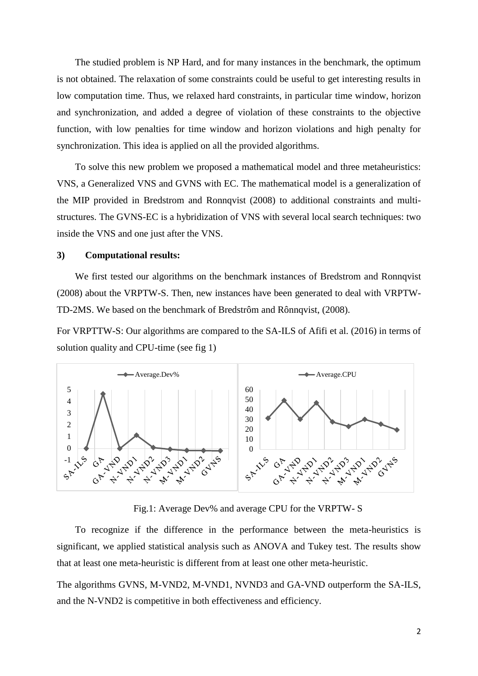The studied problem is NP Hard, and for many instances in the benchmark, the optimum is not obtained. The relaxation of some constraints could be useful to get interesting results in low computation time. Thus, we relaxed hard constraints, in particular time window, horizon and synchronization, and added a degree of violation of these constraints to the objective function, with low penalties for time window and horizon violations and high penalty for synchronization. This idea is applied on all the provided algorithms.

To solve this new problem we proposed a mathematical model and three metaheuristics: VNS, a Generalized VNS and GVNS with EC. The mathematical model is a generalization of the MIP provided in Bredstrom and Ronnqvist (2008) to additional constraints and multistructures. The GVNS-EC is a hybridization of VNS with several local search techniques: two inside the VNS and one just after the VNS.

#### **3) Computational results:**

We first tested our algorithms on the benchmark instances of Bredstrom and Ronnqvist (2008) about the VRPTW-S. Then, new instances have been generated to deal with VRPTW-TD-2MS. We based on the benchmark of Bredstrôm and Rônnqvist, (2008).

For VRPTTW-S: Our algorithms are compared to the SA-ILS of Afifi et al. (2016) in terms of solution quality and CPU-time (see fig 1)



Fig.1: Average Dev% and average CPU for the VRPTW- S

To recognize if the difference in the performance between the meta-heuristics is significant, we applied statistical analysis such as ANOVA and Tukey test. The results show that at least one meta-heuristic is different from at least one other meta-heuristic.

The algorithms GVNS, M-VND2, M-VND1, NVND3 and GA-VND outperform the SA-ILS, and the N-VND2 is competitive in both effectiveness and efficiency.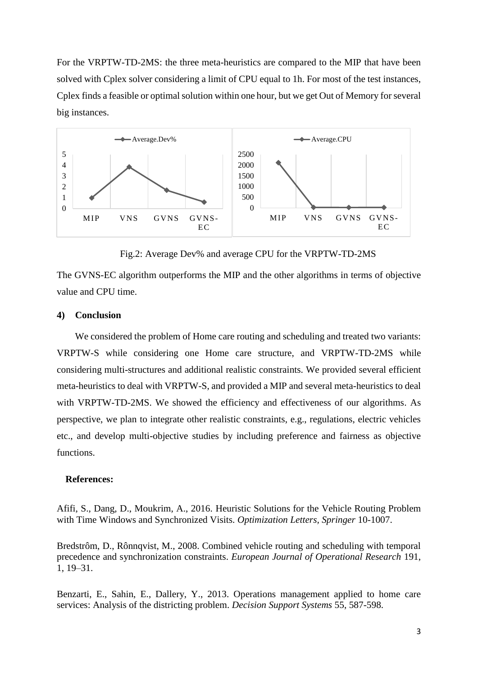For the VRPTW-TD-2MS: the three meta-heuristics are compared to the MIP that have been solved with Cplex solver considering a limit of CPU equal to 1h. For most of the test instances, Cplex finds a feasible or optimal solution within one hour, but we get Out of Memory for several big instances.



Fig.2: Average Dev% and average CPU for the VRPTW-TD-2MS

The GVNS-EC algorithm outperforms the MIP and the other algorithms in terms of objective value and CPU time.

## **4) Conclusion**

We considered the problem of Home care routing and scheduling and treated two variants: VRPTW-S while considering one Home care structure, and VRPTW-TD-2MS while considering multi-structures and additional realistic constraints. We provided several efficient meta-heuristics to deal with VRPTW-S, and provided a MIP and several meta-heuristics to deal with VRPTW-TD-2MS. We showed the efficiency and effectiveness of our algorithms. As perspective, we plan to integrate other realistic constraints, e.g., regulations, electric vehicles etc., and develop multi-objective studies by including preference and fairness as objective functions.

## **References:**

Afifi, S., Dang, D., Moukrim, A., 2016. Heuristic Solutions for the Vehicle Routing Problem with Time Windows and Synchronized Visits. *Optimization Letters, Springer* 10-1007.

Bredstrôm, D., Rônnqvist, M., 2008. Combined vehicle routing and scheduling with temporal precedence and synchronization constraints. *European Journal of Operational Research* 191, 1, 19–31.

Benzarti, E., Sahin, E., Dallery, Y., 2013. Operations management applied to home care services: Analysis of the districting problem. *Decision Support Systems* 55, 587-598.